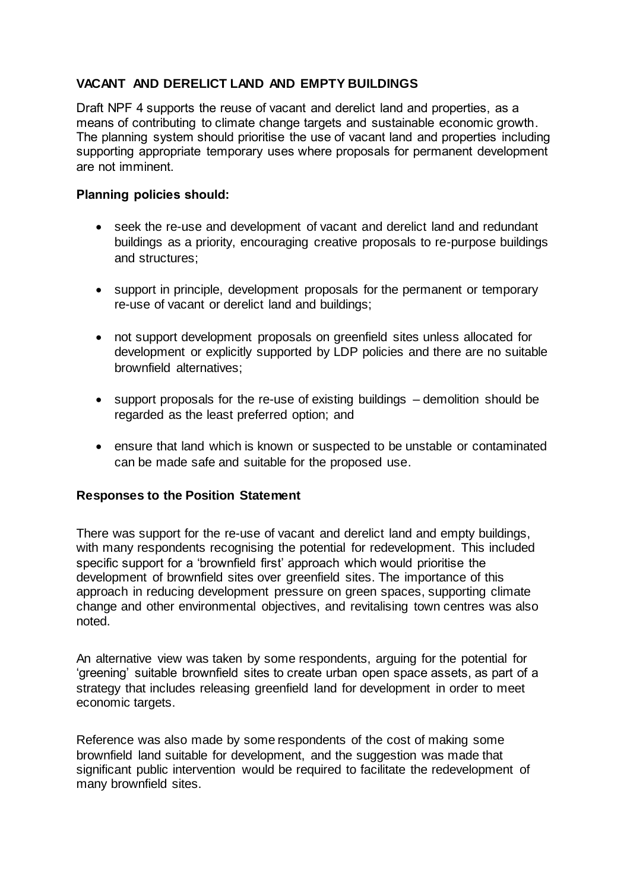## **VACANT AND DERELICT LAND AND EMPTY BUILDINGS**

Draft NPF 4 supports the reuse of vacant and derelict land and properties, as a means of contributing to climate change targets and sustainable economic growth. The planning system should prioritise the use of vacant land and properties including supporting appropriate temporary uses where proposals for permanent development are not imminent.

## **Planning policies should:**

- seek the re-use and development of vacant and derelict land and redundant buildings as a priority, encouraging creative proposals to re-purpose buildings and structures;
- support in principle, development proposals for the permanent or temporary re-use of vacant or derelict land and buildings;
- not support development proposals on greenfield sites unless allocated for development or explicitly supported by LDP policies and there are no suitable brownfield alternatives;
- support proposals for the re-use of existing buildings demolition should be regarded as the least preferred option; and
- ensure that land which is known or suspected to be unstable or contaminated can be made safe and suitable for the proposed use.

## **Responses to the Position Statement**

There was support for the re-use of vacant and derelict land and empty buildings, with many respondents recognising the potential for redevelopment. This included specific support for a 'brownfield first' approach which would prioritise the development of brownfield sites over greenfield sites. The importance of this approach in reducing development pressure on green spaces, supporting climate change and other environmental objectives, and revitalising town centres was also noted.

An alternative view was taken by some respondents, arguing for the potential for 'greening' suitable brownfield sites to create urban open space assets, as part of a strategy that includes releasing greenfield land for development in order to meet economic targets.

Reference was also made by some respondents of the cost of making some brownfield land suitable for development, and the suggestion was made that significant public intervention would be required to facilitate the redevelopment of many brownfield sites.